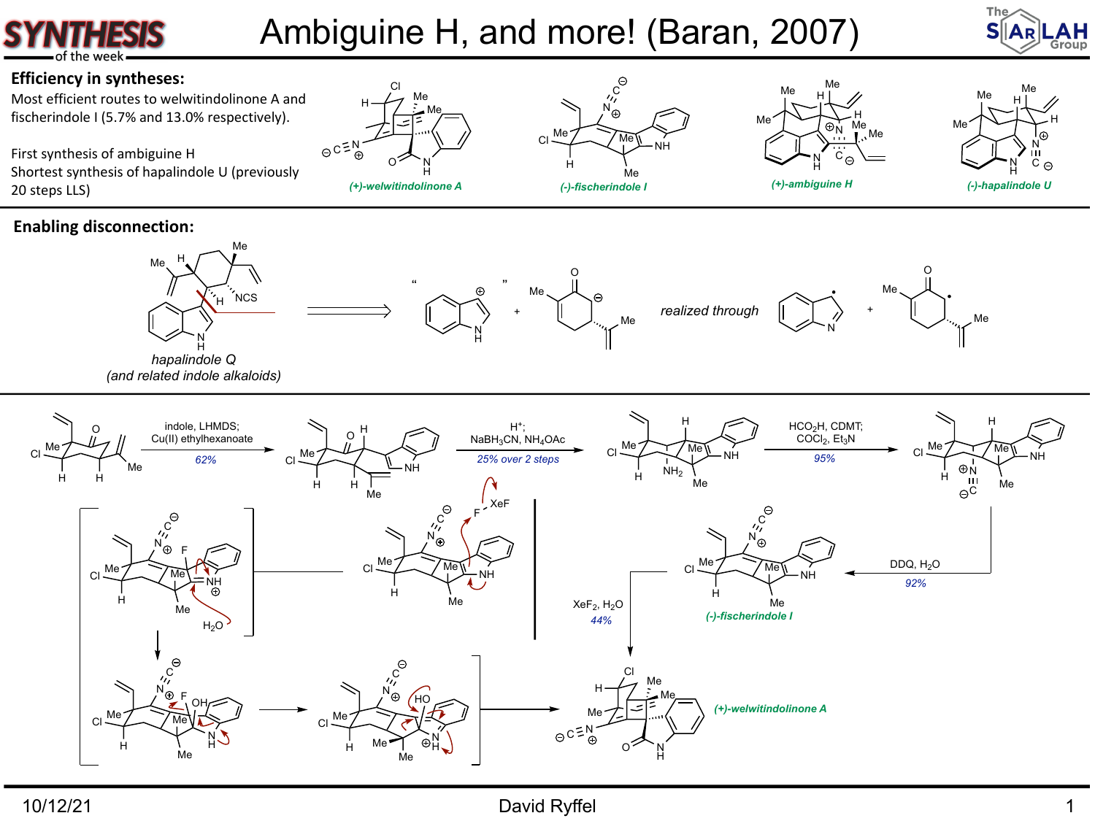## Ambiguine H, and more! (Baran, 2007)





Most efficient routes to welwitindolinone A and fischerindole I (5.7% and 13.0% respectively).

First synthesis of ambiguine H Shortest synthesis of hapalindole U (previously 20 steps LLS)



H

H

Me

 $Cl \stackrel{Me}{\sim}$ 

N H

O

N H

 $\odot$ 

Me

 $H$  Me